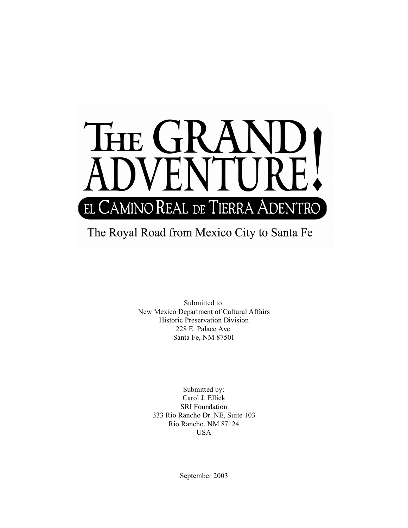

# The Royal Road from Mexico City to Santa Fe

Submitted to: New Mexico Department of Cultural Affairs Historic Preservation Division 228 E. Palace Ave. Santa Fe, NM 87501

> Submitted by: Carol J. Ellick SRI Foundation 333 Rio Rancho Dr. NE, Suite 103 Rio Rancho, NM 87124 USA

> > September 2003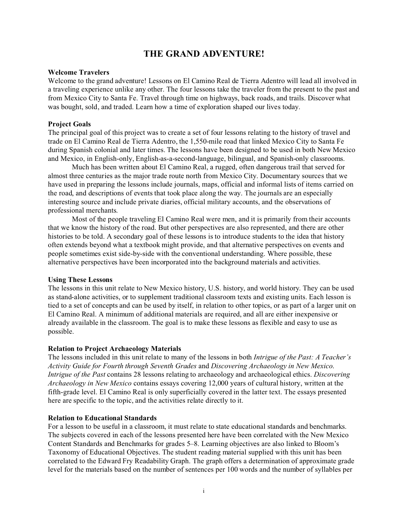## **THE GRAND ADVENTURE!**

#### **Welcome Travelers**

Welcome to the grand adventure! Lessons on El Camino Real de Tierra Adentro will lead all involved in a traveling experience unlike any other. The four lessons take the traveler from the present to the past and from Mexico City to Santa Fe. Travel through time on highways, back roads, and trails. Discover what was bought, sold, and traded. Learn how a time of exploration shaped our lives today.

#### **Project Goals**

The principal goal of this project was to create a set of four lessons relating to the history of travel and trade on El Camino Real de Tierra Adentro, the 1,550-mile road that linked Mexico City to Santa Fe during Spanish colonial and later times. The lessons have been designed to be used in both New Mexico and Mexico, in English-only, English-as-a-second-language, bilingual, and Spanish-only classrooms.

Much has been written about El Camino Real, a rugged, often dangerous trail that served for almost three centuries as the major trade route north from Mexico City. Documentary sources that we have used in preparing the lessons include journals, maps, official and informal lists of items carried on the road, and descriptions of events that took place along the way. The journals are an especially interesting source and include private diaries, official military accounts, and the observations of professional merchants.

Most of the people traveling El Camino Real were men, and it is primarily from their accounts that we know the history of the road. But other perspectives are also represented, and there are other histories to be told. A secondary goal of these lessons is to introduce students to the idea that history often extends beyond what a textbook might provide, and that alternative perspectives on events and people sometimes exist side-by-side with the conventional understanding. Where possible, these alternative perspectives have been incorporated into the background materials and activities.

#### **Using These Lessons**

The lessons in this unit relate to New Mexico history, U.S. history, and world history. They can be used as stand-alone activities, or to supplement traditional classroom texts and existing units. Each lesson is tied to a set of concepts and can be used by itself, in relation to other topics, or as part of a larger unit on El Camino Real. A minimum of additional materials are required, and all are either inexpensive or already available in the classroom. The goal is to make these lessons as flexible and easy to use as possible.

#### **Relation to Project Archaeology Materials**

The lessons included in this unit relate to many of the lessons in both *Intrigue of the Past: A Teacher's Activity Guide for Fourth through Seventh Grades* and *Discovering Archaeology in New Mexico*. *Intrigue of the Past* contains 28 lessons relating to archaeology and archaeological ethics. *Discovering Archaeology in New Mexico* contains essays covering 12,000 years of cultural history, written at the fifth-grade level. El Camino Real is only superficially covered in the latter text. The essays presented here are specific to the topic, and the activities relate directly to it.

#### **Relation to Educational Standards**

For a lesson to be useful in a classroom, it must relate to state educational standards and benchmarks. The subjects covered in each of the lessons presented here have been correlated with the New Mexico Content Standards and Benchmarks for grades 5–8. Learning objectives are also linked to Bloom's Taxonomy of Educational Objectives. The student reading material supplied with this unit has been correlated to the Edward Fry Readability Graph. The graph offers a determination of approximate grade level for the materials based on the number of sentences per 100 words and the number of syllables per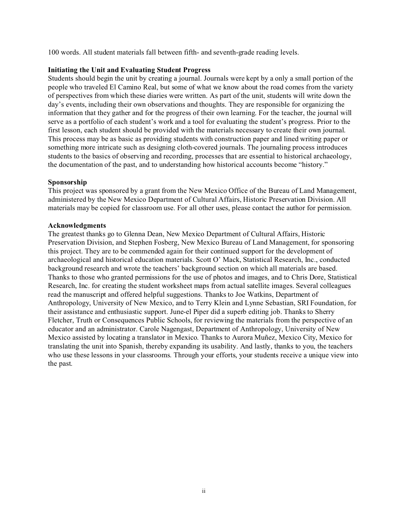100 words. All student materials fall between fifth- and seventh-grade reading levels.

#### **Initiating the Unit and Evaluating Student Progress**

Students should begin the unit by creating a journal. Journals were kept by a only a small portion of the people who traveled El Camino Real, but some of what we know about the road comes from the variety of perspectives from which these diaries were written. As part of the unit, students will write down the day's events, including their own observations and thoughts. They are responsible for organizing the information that they gather and for the progress of their own learning. For the teacher, the journal will serve as a portfolio of each student's work and a tool for evaluating the student's progress. Prior to the first lesson, each student should be provided with the materials necessary to create their own journal. This process may be as basic as providing students with construction paper and lined writing paper or something more intricate such as designing cloth-covered journals. The journaling process introduces students to the basics of observing and recording, processes that are essential to historical archaeology, the documentation of the past, and to understanding how historical accounts become "history."

## **Sponsorship**

This project was sponsored by a grant from the New Mexico Office of the Bureau of Land Management, administered by the New Mexico Department of Cultural Affairs, Historic Preservation Division. All materials may be copied for classroom use. For all other uses, please contact the author for permission.

#### **Acknowledgments**

The greatest thanks go to Glenna Dean, New Mexico Department of Cultural Affairs, Historic Preservation Division, and Stephen Fosberg, New Mexico Bureau of Land Management, for sponsoring this project. They are to be commended again for their continued support for the development of archaeological and historical education materials. Scott O' Mack, Statistical Research, Inc., conducted background research and wrote the teachers' background section on which all materials are based. Thanks to those who granted permissions for the use of photos and images, and to Chris Dore, Statistical Research, Inc. for creating the student worksheet maps from actual satellite images. Several colleagues read the manuscript and offered helpful suggestions. Thanks to Joe Watkins, Department of Anthropology, University of New Mexico, and to Terry Klein and Lynne Sebastian, SRI Foundation, for their assistance and enthusiastic support. June-el Piper did a superb editing job. Thanks to Sherry Fletcher, Truth or Consequences Public Schools, for reviewing the materials from the perspective of an educator and an administrator. Carole Nagengast, Department of Anthropology, University of New Mexico assisted by locating a translator in Mexico. Thanks to Aurora Muñez, Mexico City, Mexico for translating the unit into Spanish, thereby expanding its usability. And lastly, thanks to you, the teachers who use these lessons in your classrooms. Through your efforts, your students receive a unique view into the past.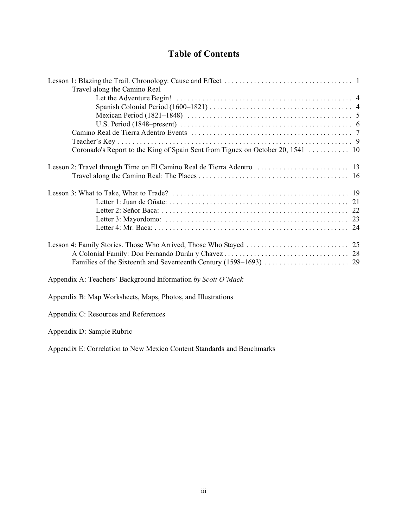## **Table of Contents**

| Travel along the Camino Real                                 |  |
|--------------------------------------------------------------|--|
|                                                              |  |
|                                                              |  |
|                                                              |  |
|                                                              |  |
|                                                              |  |
|                                                              |  |
|                                                              |  |
|                                                              |  |
|                                                              |  |
|                                                              |  |
|                                                              |  |
|                                                              |  |
|                                                              |  |
|                                                              |  |
|                                                              |  |
|                                                              |  |
|                                                              |  |
| Appendix A: Teachers' Background Information by Scott O'Mack |  |

Appendix B: Map Worksheets, Maps, Photos, and Illustrations

Appendix C: Resources and References

Appendix D: Sample Rubric

Appendix E: Correlation to New Mexico Content Standards and Benchmarks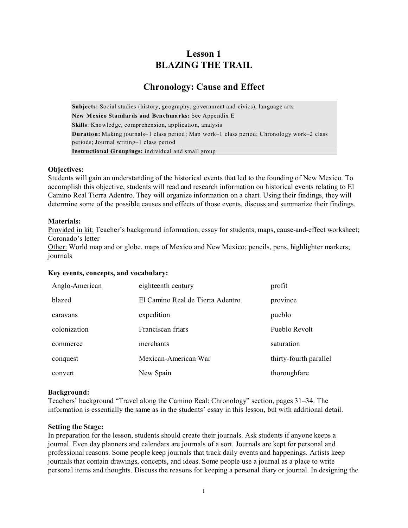## **Lesson 1 BLAZING THE TRAIL**

## **Chronology: Cause and Effect**

**Subjects:** Social studies (history, geography, government and civics), language arts **New Mexico Standards and Benchmarks:** See Appendix E **Skills**: Knowledge, comprehension, application, analysis **Duration:** Making journals–1 class period; Map work–1 class period; Chronology work–2 class periods; Journal writing–1 class period **Instructional Groupings:** individual and small group

#### **Objectives:**

Students will gain an understanding of the historical events that led to the founding of New Mexico. To accomplish this objective, students will read and research information on historical events relating to El Camino Real Tierra Adentro. They will organize information on a chart. Using their findings, they will determine some of the possible causes and effects of those events, discuss and summarize their findings.

## **Materials:**

Provided in kit: Teacher's background information, essay for students, maps, cause-and-effect worksheet; Coronado's letter

Other: World map and or globe, maps of Mexico and New Mexico; pencils, pens, highlighter markers; journals

## **Key events, concepts, and vocabulary:**

| Anglo-American | eighteenth century               | profit                 |
|----------------|----------------------------------|------------------------|
| blazed         | El Camino Real de Tierra Adentro | province               |
| caravans       | expedition                       | pueblo                 |
| colonization   | Franciscan friars                | Pueblo Revolt          |
| commerce       | merchants                        | saturation             |
| conquest       | Mexican-American War             | thirty-fourth parallel |
| convert        | New Spain                        | thoroughfare           |

## **Background:**

Teachers' background "Travel along the Camino Real: Chronology" section, pages 31–34. The information is essentially the same as in the students' essay in this lesson, but with additional detail.

#### **Setting the Stage:**

In preparation for the lesson, students should create their journals. Ask students if anyone keeps a journal. Even day planners and calendars are journals of a sort. Journals are kept for personal and professional reasons. Some people keep journals that track daily events and happenings. Artists keep journals that contain drawings, concepts, and ideas. Some people use a journal as a place to write personal items and thoughts. Discuss the reasons for keeping a personal diary or journal. In designing the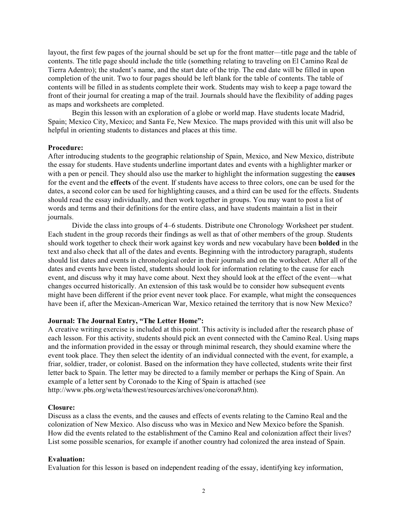layout, the first few pages of the journal should be set up for the front matter—title page and the table of contents. The title page should include the title (something relating to traveling on El Camino Real de Tierra Adentro); the student's name, and the start date of the trip. The end date will be filled in upon completion of the unit. Two to four pages should be left blank for the table of contents. The table of contents will be filled in as students complete their work. Students may wish to keep a page toward the front of their journal for creating a map of the trail. Journals should have the flexibility of adding pages as maps and worksheets are completed.

Begin this lesson with an exploration of a globe or world map. Have students locate Madrid, Spain; Mexico City, Mexico; and Santa Fe, New Mexico. The maps provided with this unit will also be helpful in orienting students to distances and places at this time.

#### **Procedure:**

After introducing students to the geographic relationship of Spain, Mexico, and New Mexico, distribute the essay for students. Have students underline important dates and events with a highlighter marker or with a pen or pencil. They should also use the marker to highlight the information suggesting the **causes** for the event and the **effects** of the event. If students have access to three colors, one can be used for the dates, a second color can be used for highlighting causes, and a third can be used for the effects. Students should read the essay individually, and then work together in groups. You may want to post a list of words and terms and their definitions for the entire class, and have students maintain a list in their journals.

Divide the class into groups of 4–6 students. Distribute one Chronology Worksheet per student. Each student in the group records their findings as well as that of other members of the group. Students should work together to check their work against key words and new vocabulary have been **bolded** in the text and also check that all of the dates and events. Beginning with the introductory paragraph, students should list dates and events in chronological order in their journals and on the worksheet. After all of the dates and events have been listed, students should look for information relating to the cause for each event, and discuss why it may have come about. Next they should look at the effect of the event—what changes occurred historically. An extension of this task would be to consider how subsequent events might have been different if the prior event never took place. For example, what might the consequences have been if, after the Mexican-American War, Mexico retained the territory that is now New Mexico?

#### **Journal: The Journal Entry, "The Letter Home":**

A creative writing exercise is included at this point. This activity is included after the research phase of each lesson. For this activity, students should pick an event connected with the Camino Real. Using maps and the information provided in the essay or through minimal research, they should examine where the event took place. They then select the identity of an individual connected with the event, for example, a friar, soldier, trader, or colonist. Based on the information they have collected, students write their first letter back to Spain. The letter may be directed to a family member or perhaps the King of Spain. An example of a letter sent by Coronado to the King of Spain is attached (see http://www.pbs.org/weta/thewest/resources/archives/one/corona9.htm).

#### **Closure:**

Discuss as a class the events, and the causes and effects of events relating to the Camino Real and the colonization of New Mexico. Also discuss who was in Mexico and New Mexico before the Spanish. How did the events related to the establishment of the Camino Real and colonization affect their lives? List some possible scenarios, for example if another country had colonized the area instead of Spain.

#### **Evaluation:**

Evaluation for this lesson is based on independent reading of the essay, identifying key information,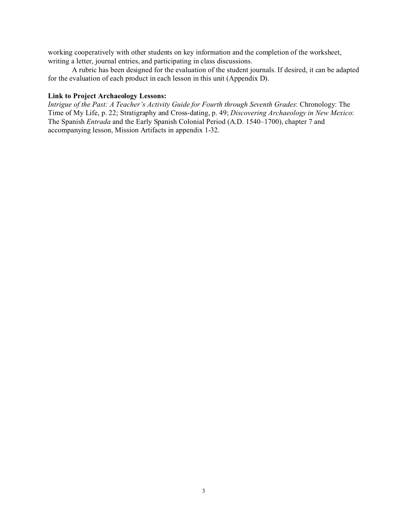working cooperatively with other students on key information and the completion of the worksheet, writing a letter, journal entries, and participating in class discussions.

A rubric has been designed for the evaluation of the student journals. If desired, it can be adapted for the evaluation of each product in each lesson in this unit (Appendix D).

#### **Link to Project Archaeology Lessons:**

*Intrigue of the Past: A Teacher's Activity Guide for Fourth through Seventh Grades*: Chronology: The Time of My Life, p. 22; Stratigraphy and Cross-dating, p. 49; *Discovering Archaeology in New Mexico*: The Spanish *Entrada* and the Early Spanish Colonial Period (A.D. 1540–1700), chapter 7 and accompanying lesson, Mission Artifacts in appendix 1-32.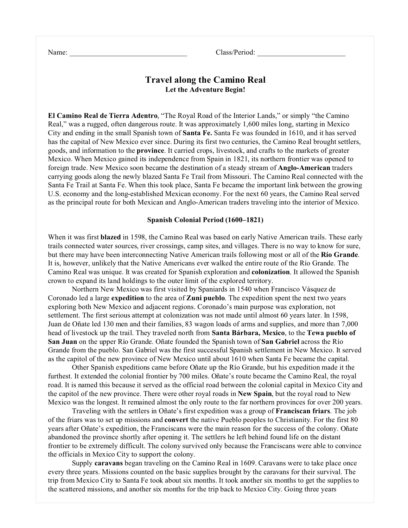| Name: |  |
|-------|--|
|       |  |

Class/Period:

## **Travel along the Camino Real Let the Adventure Begin!**

**El Camino Real de Tierra Adentro**, "The Royal Road of the Interior Lands," or simply "the Camino Real," was a rugged, often dangerous route. It was approximately 1,600 miles long, starting in Mexico City and ending in the small Spanish town of **Santa Fe.** Santa Fe was founded in 1610, and it has served has the capital of New Mexico ever since. During its first two centuries, the Camino Real brought settlers, goods, and information to the **province**. It carried crops, livestock, and crafts to the markets of greater Mexico. When Mexico gained its independence from Spain in 1821, its northern frontier was opened to foreign trade. New Mexico soon became the destination of a steady stream of **Anglo-American** traders carrying goods along the newly blazed Santa Fe Trail from Missouri. The Camino Real connected with the Santa Fe Trail at Santa Fe. When this took place, Santa Fe became the important link between the growing U.S. economy and the long-established Mexican economy. For the next 60 years, the Camino Real served as the principal route for both Mexican and Anglo-American traders traveling into the interior of Mexico.

#### **Spanish Colonial Period (1600–1821)**

When it was first **blazed** in 1598, the Camino Real was based on early Native American trails. These early trails connected water sources, river crossings, camp sites, and villages. There is no way to know for sure, but there may have been interconnecting Native American trails following most or all of the **Río Grande**. It is, however, unlikely that the Native Americans ever walked the entire route of the Río Grande. The Camino Real was unique. It was created for Spanish exploration and **colonization**. It allowed the Spanish crown to expand its land holdings to the outer limit of the explored territory.

Northern New Mexico was first visited by Spaniards in 1540 when Francisco Vásquez de Coronado led a large **expedition** to the area of **Zuni pueblo**. The expedition spent the next two years exploring both New Mexico and adjacent regions. Coronado's main purpose was exploration, not settlement. The first serious attempt at colonization was not made until almost 60 years later. In 1598, Juan de Oñate led 130 men and their families, 83 wagon loads of arms and supplies, and more than 7,000 head of livestock up the trail. They traveled north from **Santa Bárbara, Mexico**, to the **Tewa pueblo of San Juan** on the upper Río Grande. Oñate founded the Spanish town of **San Gabriel** across the Río Grande from the pueblo. San Gabriel was the first successful Spanish settlement in New Mexico. It served as the capitol of the new province of New Mexico until about 1610 when Santa Fe became the capital.

Other Spanish expeditions came before Oñate up the Río Grande, but his expedition made it the furthest. It extended the colonial frontier by 700 miles. Oñate's route became the Camino Real, the royal road. It is named this because it served as the official road between the colonial capital in Mexico City and the capitol of the new province. There were other royal roads in **New Spain**, but the royal road to New Mexico was the longest. It remained almost the only route to the far northern provinces for over 200 years.

Traveling with the settlers in Oñate's first expedition was a group of **Franciscan friars**. The job of the friars was to set up missions and **convert** the native Pueblo peoples to Christianity. For the first 80 years after Oñate's expedition, the Franciscans were the main reason for the success of the colony. Oñate abandoned the province shortly after opening it. The settlers he left behind found life on the distant frontier to be extremely difficult. The colony survived only because the Franciscans were able to convince the officials in Mexico City to support the colony.

Supply **caravans** began traveling on the Camino Real in 1609. Caravans were to take place once every three years. Missions counted on the basic supplies brought by the caravans for their survival. The trip from Mexico City to Santa Fe took about six months. It took another six months to get the supplies to the scattered missions, and another six months for the trip back to Mexico City. Going three years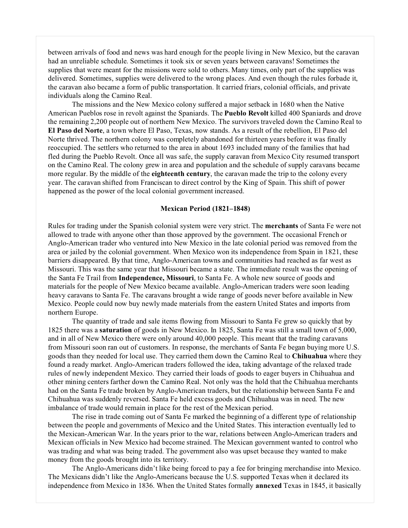between arrivals of food and news was hard enough for the people living in New Mexico, but the caravan had an unreliable schedule. Sometimes it took six or seven years between caravans! Sometimes the supplies that were meant for the missions were sold to others. Many times, only part of the supplies was delivered. Sometimes, supplies were delivered to the wrong places. And even though the rules forbade it, the caravan also became a form of public transportation. It carried friars, colonial officials, and private individuals along the Camino Real.

The missions and the New Mexico colony suffered a major setback in 1680 when the Native American Pueblos rose in revolt against the Spaniards. The **Pueblo Revolt** killed 400 Spaniards and drove the remaining 2,200 people out of northern New Mexico. The survivors traveled down the Camino Real to **El Paso del Norte**, a town where El Paso, Texas, now stands. As a result of the rebellion, El Paso del Norte thrived. The northern colony was completely abandoned for thirteen years before it was finally reoccupied. The settlers who returned to the area in about 1693 included many of the families that had fled during the Pueblo Revolt. Once all was safe, the supply caravan from Mexico City resumed transport on the Camino Real. The colony grew in area and population and the schedule of supply caravans became more regular. By the middle of the **eighteenth century**, the caravan made the trip to the colony every year. The caravan shifted from Franciscan to direct control by the King of Spain. This shift of power happened as the power of the local colonial government increased.

## **Mexican Period (1821–1848)**

Rules for trading under the Spanish colonial system were very strict. The **merchants** of Santa Fe were not allowed to trade with anyone other than those approved by the government. The occasional French or Anglo-American trader who ventured into New Mexico in the late colonial period was removed from the area or jailed by the colonial government. When Mexico won its independence from Spain in 1821, these barriers disappeared. By that time, Anglo-American towns and communities had reached as far west as Missouri. This was the same year that Missouri became a state. The immediate result was the opening of the Santa Fe Trail from **Independence, Missouri**, to Santa Fe. A whole new source of goods and materials for the people of New Mexico became available. Anglo-American traders were soon leading heavy caravans to Santa Fe. The caravans brought a wide range of goods never before available in New Mexico. People could now buy newly made materials from the eastern United States and imports from northern Europe.

The quantity of trade and sale items flowing from Missouri to Santa Fe grew so quickly that by 1825 there was a **saturation** of goods in New Mexico. In 1825, Santa Fe was still a small town of 5,000, and in all of New Mexico there were only around 40,000 people. This meant that the trading caravans from Missouri soon ran out of customers. In response, the merchants of Santa Fe began buying more U.S. goods than they needed for local use. They carried them down the Camino Real to **Chihuahua** where they found a ready market. Anglo-American traders followed the idea, taking advantage of the relaxed trade rules of newly independent Mexico. They carried their loads of goods to eager buyers in Chihuahua and other mining centers farther down the Camino Real. Not only was the hold that the Chihuahua merchants had on the Santa Fe trade broken by Anglo-American traders, but the relationship between Santa Fe and Chihuahua was suddenly reversed. Santa Fe held excess goods and Chihuahua was in need. The new imbalance of trade would remain in place for the rest of the Mexican period.

The rise in trade coming out of Santa Fe marked the beginning of a different type of relationship between the people and governments of Mexico and the United States. This interaction eventually led to the Mexican-American War. In the years prior to the war, relations between Anglo-American traders and Mexican officials in New Mexico had become strained. The Mexican government wanted to control who was trading and what was being traded. The government also was upset because they wanted to make money from the goods brought into its territory.

The Anglo-Americans didn't like being forced to pay a fee for bringing merchandise into Mexico. The Mexicans didn't like the Anglo-Americans because the U.S. supported Texas when it declared its independence from Mexico in 1836. When the United States formally **annexed** Texas in 1845, it basically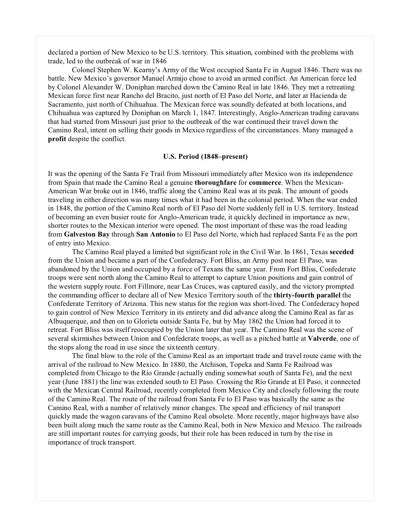declared a portion of New Mexico to be U.S. territory. This situation, combined with the problems with trade, led to the outbreak of war in 1846

Colonel Stephen W. Kearny's Army of the West occupied Santa Fe in August 1846. There was no battle. New Mexico's governor Manuel Armijo chose to avoid an armed conflict. An American force led by Colonel Alexander W. Doniphan marched down the Camino Real in late 1846. They met a retreating Mexican force first near Rancho del Bracito, just north of El Paso del Norte, and later at Hacienda de Sacramento, just north of Chihuahua. The Mexican force was soundly defeated at both locations, and Chihuahua was captured by Doniphan on March 1, 1847. Interestingly, Anglo-American trading caravans that had started from Missouri just prior to the outbreak of the war continued their travel down the Camino Real, intent on selling their goods in Mexico regardless of the circumstances. Many managed a **profit** despite the conflict.

#### **U.S. Period (1848–present)**

It was the opening of the Santa Fe Trail from Missouri immediately after Mexico won its independence from Spain that made the Camino Real a genuine **thoroughfare** for **commerce**. When the Mexican-American War broke out in 1846, traffic along the Camino Real was at its peak. The amount of goods traveling in either direction was many times what it had been in the colonial period. When the war ended in 1848, the portion of the Camino Real north of El Paso del Norte suddenly fell in U.S. territory. Instead of becoming an even busier route for Anglo-American trade, it quickly declined in importance as new, shorter routes to the Mexican interior were opened. The most important of these was the road leading from **Galveston Bay** through **San Antonio** to El Paso del Norte, which had replaced Santa Fe as the port of entry into Mexico.

The Camino Real played a limited but significant role in the Civil War. In 1861, Texas **seceded** from the Union and became a part of the Confederacy. Fort Bliss, an Army post near El Paso, was abandoned by the Union and occupied by a force of Texans the same year. From Fort Bliss, Confederate troops were sent north along the Camino Real to attempt to capture Union positions and gain control of the western supply route. Fort Fillmore, near Las Cruces, was captured easily, and the victory prompted the commanding officer to declare all of New Mexico Territory south of the **thirty-fourth parallel** the Confederate Territory of Arizona. This new status for the region was short-lived. The Confederacy hoped to gain control of New Mexico Territory in its entirety and did advance along the Camino Real as far as Albuquerque, and then on to Glorieta outside Santa Fe, but by May 1862 the Union had forced it to retreat. Fort Bliss was itself reoccupied by the Union later that year. The Camino Real was the scene of several skirmishes between Union and Confederate troops, as well as a pitched battle at **Valverde**, one of the stops along the road in use since the sixteenth century.

The final blow to the role of the Camino Real as an important trade and travel route came with the arrival of the railroad to New Mexico. In 1880, the Atchison, Topeka and Santa Fe Railroad was completed from Chicago to the Río Grande (actually ending somewhat south of Santa Fe), and the next year (June 1881) the line was extended south to El Paso. Crossing the Río Grande at El Paso, it connected with the Mexican Central Railroad, recently completed from Mexico City and closely following the route of the Camino Real. The route of the railroad from Santa Fe to El Paso was basically the same as the Camino Real, with a number of relatively minor changes. The speed and efficiency of rail transport quickly made the wagon caravans of the Camino Real obsolete. More recently, major highways have also been built along much the same route as the Camino Real, both in New Mexico and Mexico. The railroads are still important routes for carrying goods, but their role has been reduced in turn by the rise in importance of truck transport.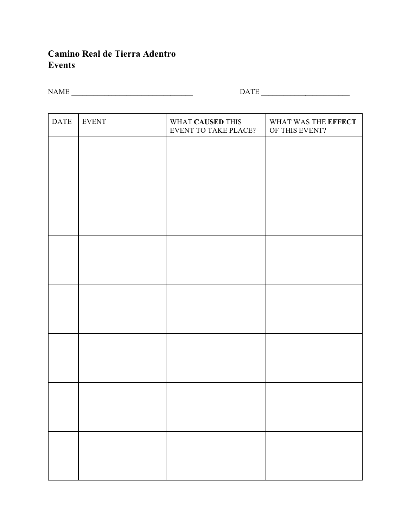## **Camino Real de Tierra Adentro Events**

| <b>NAME</b> | $\bigcap$ $\bigcap$ $\bigcap$ |
|-------------|-------------------------------|
|             |                               |

| <b>DATE</b> | <b>EVENT</b> | WHAT CAUSED THIS<br><b>EVENT TO TAKE PLACE?</b> | WHAT WAS THE EFFECT<br>OF THIS EVENT? |
|-------------|--------------|-------------------------------------------------|---------------------------------------|
|             |              |                                                 |                                       |
|             |              |                                                 |                                       |
|             |              |                                                 |                                       |
|             |              |                                                 |                                       |
|             |              |                                                 |                                       |
|             |              |                                                 |                                       |
|             |              |                                                 |                                       |
|             |              |                                                 |                                       |
|             |              |                                                 |                                       |
|             |              |                                                 |                                       |
|             |              |                                                 |                                       |
|             |              |                                                 |                                       |
|             |              |                                                 |                                       |
|             |              |                                                 |                                       |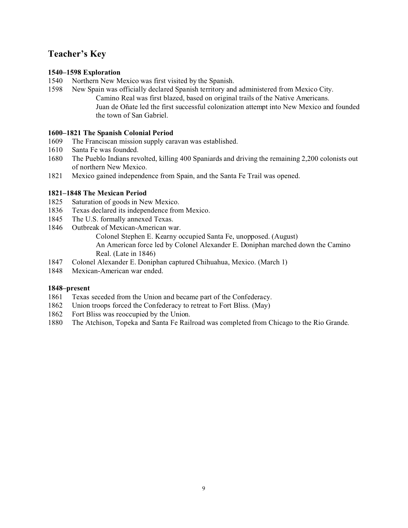## **Teacher's Key**

## **1540–1598 Exploration**

- 1540 Northern New Mexico was first visited by the Spanish.
- 1598 New Spain was officially declared Spanish territory and administered from Mexico City. Camino Real was first blazed, based on original trails of the Native Americans. Juan de Oñate led the first successful colonization attempt into New Mexico and founded the town of San Gabriel.

## **1600–1821 The Spanish Colonial Period**

- 1609 The Franciscan mission supply caravan was established.
- 1610 Santa Fe was founded.
- 1680 The Pueblo Indians revolted, killing 400 Spaniards and driving the remaining 2,200 colonists out of northern New Mexico.
- 1821 Mexico gained independence from Spain, and the Santa Fe Trail was opened.

## **1821–1848 The Mexican Period**

- 1825 Saturation of goods in New Mexico.
- 1836 Texas declared its independence from Mexico.
- 1845 The U.S. formally annexed Texas.
- 1846 Outbreak of Mexican-American war. Colonel Stephen E. Kearny occupied Santa Fe, unopposed. (August) An American force led by Colonel Alexander E. Doniphan marched down the Camino Real. (Late in 1846)
- 1847 Colonel Alexander E. Doniphan captured Chihuahua, Mexico. (March 1)
- 1848 Mexican-American war ended.

## **1848–present**

- 1861 Texas seceded from the Union and became part of the Confederacy.
- 1862 Union troops forced the Confederacy to retreat to Fort Bliss. (May)
- 1862 Fort Bliss was reoccupied by the Union.
- 1880 The Atchison, Topeka and Santa Fe Railroad was completed from Chicago to the Rio Grande.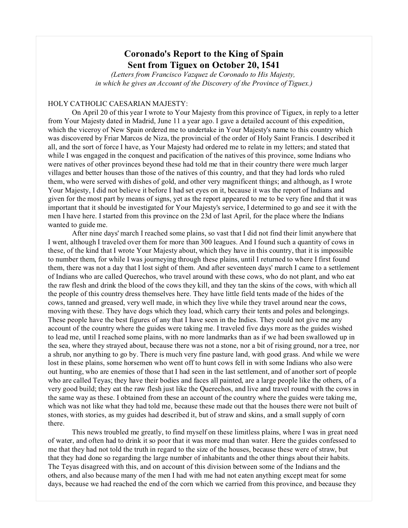## **Coronado's Report to the King of Spain Sent from Tiguex on October 20, 1541**

*(Letters from Francisco Vazquez de Coronado to His Majesty, in which he gives an Account of the Discovery of the Province of Tiguex.)*

#### HOLY CATHOLIC CAESARIAN MAJESTY:

On April 20 of this year I wrote to Your Majesty from this province of Tiguex, in reply to a letter from Your Majesty dated in Madrid, June 11 a year ago. I gave a detailed account of this expedition, which the viceroy of New Spain ordered me to undertake in Your Majesty's name to this country which was discovered by Friar Marcos de Niza, the provincial of the order of Holy Saint Francis. I described it all, and the sort of force I have, as Your Majesty had ordered me to relate in my letters; and stated that while I was engaged in the conquest and pacification of the natives of this province, some Indians who were natives of other provinces beyond these had told me that in their country there were much larger villages and better houses than those of the natives of this country, and that they had lords who ruled them, who were served with dishes of gold, and other very magnificent things; and although, as I wrote Your Majesty, I did not believe it before I had set eyes on it, because it was the report of Indians and given for the most part by means of signs, yet as the report appeared to me to be very fine and that it was important that it should be investigated for Your Majesty's service, I determined to go and see it with the men I have here. I started from this province on the 23d of last April, for the place where the Indians wanted to guide me.

After nine days' march I reached some plains, so vast that I did not find their limit anywhere that I went, although I traveled over them for more than 300 leagues. And I found such a quantity of cows in these, of the kind that I wrote Your Majesty about, which they have in this country, that it is impossible to number them, for while I was journeying through these plains, until I returned to where I first found them, there was not a day that I lost sight of them. And after seventeen days' march I came to a settlement of Indians who are called Querechos, who travel around with these cows, who do not plant, and who eat the raw flesh and drink the blood of the cows they kill, and they tan the skins of the cows, with which all the people of this country dress themselves here. They have little field tents made of the hides of the cows, tanned and greased, very well made, in which they live while they travel around near the cows, moving with these. They have dogs which they load, which carry their tents and poles and belongings. These people have the best figures of any that I have seen in the Indies. They could not give me any account of the country where the guides were taking me. I traveled five days more as the guides wished to lead me, until I reached some plains, with no more landmarks than as if we had been swallowed up in the sea, where they strayed about, because there was not a stone, nor a bit of rising ground, nor a tree, nor a shrub, nor anything to go by. There is much very fine pasture land, with good grass. And while we were lost in these plains, some horsemen who went off to hunt cows fell in with some Indians who also were out hunting, who are enemies of those that I had seen in the last settlement, and of another sort of people who are called Teyas; they have their bodies and faces all painted, are a large people like the others, of a very good build; they eat the raw flesh just like the Querechos, and live and travel round with the cows in the same way as these. I obtained from these an account of the country where the guides were taking me, which was not like what they had told me, because these made out that the houses there were not built of stones, with stories, as my guides had described it, but of straw and skins, and a small supply of corn there.

This news troubled me greatly, to find myself on these limitless plains, where I was in great need of water, and often had to drink it so poor that it was more mud than water. Here the guides confessed to me that they had not told the truth in regard to the size of the houses, because these were of straw, but that they had done so regarding the large number of inhabitants and the other things about their habits. The Teyas disagreed with this, and on account of this division between some of the Indians and the others, and also because many of the men I had with me had not eaten anything except meat for some days, because we had reached the end of the corn which we carried from this province, and because they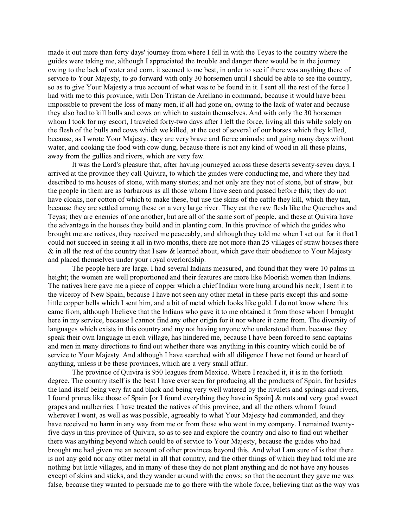made it out more than forty days' journey from where I fell in with the Teyas to the country where the guides were taking me, although I appreciated the trouble and danger there would be in the journey owing to the lack of water and corn, it seemed to me best, in order to see if there was anything there of service to Your Majesty, to go forward with only 30 horsemen until I should be able to see the country, so as to give Your Majesty a true account of what was to be found in it. I sent all the rest of the force I had with me to this province, with Don Tristan de Arellano in command, because it would have been impossible to prevent the loss of many men, if all had gone on, owing to the lack of water and because they also had to kill bulls and cows on which to sustain themselves. And with only the 30 horsemen whom I took for my escort, I traveled forty-two days after I left the force, living all this while solely on the flesh of the bulls and cows which we killed, at the cost of several of our horses which they killed, because, as I wrote Your Majesty, they are very brave and fierce animals; and going many days without water, and cooking the food with cow dung, because there is not any kind of wood in all these plains, away from the gullies and rivers, which are very few.

It was the Lord's pleasure that, after having journeyed across these deserts seventy-seven days, I arrived at the province they call Quivira, to which the guides were conducting me, and where they had described to me houses of stone, with many stories; and not only are they not of stone, but of straw, but the people in them are as barbarous as all those whom I have seen and passed before this; they do not have cloaks, nor cotton of which to make these, but use the skins of the cattle they kill, which they tan, because they are settled among these on a very large river. They eat the raw flesh like the Querechos and Teyas; they are enemies of one another, but are all of the same sort of people, and these at Quivira have the advantage in the houses they build and in planting corn. In this province of which the guides who brought me are natives, they received me peaceably, and although they told me when I set out for it that I could not succeed in seeing it all in two months, there are not more than 25 villages of straw houses there  $\&$  in all the rest of the country that I saw  $\&$  learned about, which gave their obedience to Your Majesty and placed themselves under your royal overlordship.

The people here are large. I had several Indians measured, and found that they were 10 palms in height; the women are well proportioned and their features are more like Moorish women than Indians. The natives here gave me a piece of copper which a chief Indian wore hung around his neck; I sent it to the viceroy of New Spain, because I have not seen any other metal in these parts except this and some little copper bells which I sent him, and a bit of metal which looks like gold. I do not know where this came from, although I believe that the Indians who gave it to me obtained it from those whom I brought here in my service, because I cannot find any other origin for it nor where it came from. The diversity of languages which exists in this country and my not having anyone who understood them, because they speak their own language in each village, has hindered me, because I have been forced to send captains and men in many directions to find out whether there was anything in this country which could be of service to Your Majesty. And although I have searched with all diligence I have not found or heard of anything, unless it be these provinces, which are a very small affair.

The province of Quivira is 950 leagues from Mexico. Where I reached it, it is in the fortieth degree. The country itself is the best I have ever seen for producing all the products of Spain, for besides the land itself being very fat and black and being very well watered by the rivulets and springs and rivers, I found prunes like those of Spain [or I found everything they have in Spain] & nuts and very good sweet grapes and mulberries. I have treated the natives of this province, and all the others whom I found wherever I went, as well as was possible, agreeably to what Your Majesty had commanded, and they have received no harm in any way from me or from those who went in my company. I remained twentyfive days in this province of Quivira, so as to see and explore the country and also to find out whether there was anything beyond which could be of service to Your Majesty, because the guides who had brought me had given me an account of other provinces beyond this. And what I am sure of is that there is not any gold nor any other metal in all that country, and the other things of which they had told me are nothing but little villages, and in many of these they do not plant anything and do not have any houses except of skins and sticks, and they wander around with the cows; so that the account they gave me was false, because they wanted to persuade me to go there with the whole force, believing that as the way was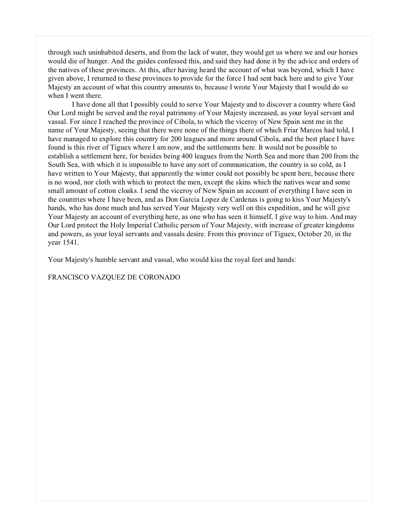through such uninhabited deserts, and from the lack of water, they would get us where we and our horses would die of hunger. And the guides confessed this, and said they had done it by the advice and orders of the natives of these provinces. At this, after having heard the account of what was beyond, which I have given above, I returned to these provinces to provide for the force I had sent back here and to give Your Majesty an account of what this country amounts to, because I wrote Your Majesty that I would do so when I went there.

I have done all that I possibly could to serve Your Majesty and to discover a country where God Our Lord might be served and the royal patrimony of Your Majesty increased, as your loyal servant and vassal. For since I reached the province of Cibola, to which the viceroy of New Spain sent me in the name of Your Majesty, seeing that there were none of the things there of which Friar Marcos had told, I have managed to explore this country for 200 leagues and more around Cibola, and the best place I have found is this river of Tiguex where I am now, and the settlements here. It would not be possible to establish a settlement here, for besides being 400 leagues from the North Sea and more than 200 from the South Sea, with which it is impossible to have any sort of communication, the country is so cold, as I have written to Your Majesty, that apparently the winter could not possibly be spent here, because there is no wood, nor cloth with which to protect the men, except the skins which the natives wear and some small amount of cotton cloaks. I send the viceroy of New Spain an account of everything I have seen in the countries where I have been, and as Don Garcia Lopez de Cardenas is going to kiss Your Majesty's hands, who has done much and has served Your Majesty very well on this expedition, and he will give Your Majesty an account of everything here, as one who has seen it himself, I give way to him. And may Our Lord protect the Holy Imperial Catholic person of Your Majesty, with increase of greater kingdoms and powers, as your loyal servants and vassals desire. From this province of Tiguex, October 20, in the year 1541.

Your Majesty's humble servant and vassal, who would kiss the royal feet and hands:

FRANCISCO VAZQUEZ DE CORONADO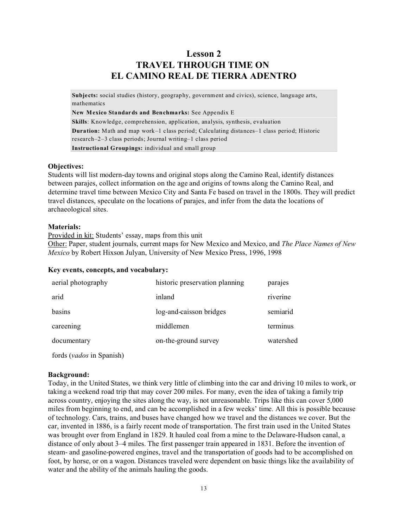## **Lesson 2 TRAVEL THROUGH TIME ON EL CAMINO REAL DE TIERRA ADENTRO**

**Subjects:** social studies (history, geography, government and civics), science, language arts, mathematics

**New Mexico Standards and Benchmarks:** See Appendix E

**Skills**: Knowledge, comprehension, application, analysis, synthesis, evaluation **Duration:** Math and map work–1 class period; Calculating distances–1 class period; Historic research–2–3 class periods; Journal writing–1 class period **Instructional Groupings:** individual and small group

#### **Objectives:**

Students will list modern-day towns and original stops along the Camino Real, identify distances between parajes, collect information on the age and origins of towns along the Camino Real, and determine travel time between Mexico City and Santa Fe based on travel in the 1800s. They will predict travel distances, speculate on the locations of parajes, and infer from the data the locations of archaeological sites.

## **Materials:**

Provided in kit: Students' essay, maps from this unit

Other: Paper, student journals, current maps for New Mexico and Mexico, and *The Place Names of New Mexico* by Robert Hixson Julyan, University of New Mexico Press, 1996, 1998

#### **Key events, concepts, and vocabulary:**

| aerial photography | historic preservation planning | parajes   |
|--------------------|--------------------------------|-----------|
| arid               | inland                         | riverine  |
| basins             | log-and-caisson bridges        | semiarid  |
| careening          | middlemen                      | terminus  |
| documentary        | on-the-ground survey           | watershed |
|                    |                                |           |

fords (*vados* in Spanish)

## **Background:**

Today, in the United States, we think very little of climbing into the car and driving 10 miles to work, or taking a weekend road trip that may cover 200 miles. For many, even the idea of taking a family trip across country, enjoying the sites along the way, is not unreasonable. Trips like this can cover 5,000 miles from beginning to end, and can be accomplished in a few weeks' time. All this is possible because of technology. Cars, trains, and buses have changed how we travel and the distances we cover. But the car, invented in 1886, is a fairly recent mode of transportation. The first train used in the United States was brought over from England in 1829. It hauled coal from a mine to the Delaware-Hudson canal, a distance of only about 3–4 miles. The first passenger train appeared in 1831. Before the invention of steam- and gasoline-powered engines, travel and the transportation of goods had to be accomplished on foot, by horse, or on a wagon. Distances traveled were dependent on basic things like the availability of water and the ability of the animals hauling the goods.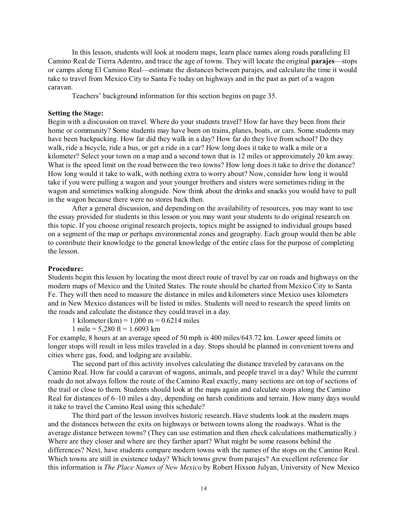In this lesson, students will look at modern maps, learn place names along roads paralleling El Camino Real de Tierra Adentro, and trace the age of towns. They will locate the original **parajes**—stops or camps along El Camino Real—estimate the distances between parajes, and calculate the time it would take to travel from Mexico City to Santa Fe today on highways and in the past as part of a wagon caravan.

Teachers' background information for this section begins on page 35.

#### **Setting the Stage:**

Begin with a discussion on travel. Where do your students travel? How far have they been from their home or community? Some students may have been on trains, planes, boats, or cars. Some students may have been backpacking. How far did they walk in a day? How far do they live from school? Do they walk, ride a bicycle, ride a bus, or get a ride in a car? How long does it take to walk a mile or a kilometer? Select your town on a map and a second town that is 12 miles or approximately 20 km away. What is the speed limit on the road between the two towns? How long does it take to drive the distance? How long would it take to walk, with nothing extra to worry about? Now, consider how long it would take if you were pulling a wagon and your younger brothers and sisters were sometimes riding in the wagon and sometimes walking alongside. Now think about the drinks and snacks you would have to pull in the wagon because there were no stores back then.

After a general discussion, and depending on the availability of resources, you may want to use the essay provided for students in this lesson or you may want your students to do original research on this topic. If you choose original research projects, topics might be assigned to individual groups based on a segment of the map or perhaps environmental zones and geography. Each group would then be able to contribute their knowledge to the general knowledge of the entire class for the purpose of completing the lesson.

#### **Procedure:**

Students begin this lesson by locating the most direct route of travel by car on roads and highways on the modern maps of Mexico and the United States. The route should be charted from Mexico City to Santa Fe. They will then need to measure the distance in miles and kilometers since Mexico uses kilometers and in New Mexico distances will be listed in miles. Students will need to research the speed limits on the roads and calculate the distance they could travel in a day.

1 kilometer (km) =  $1,000 \text{ m} = 0.6214 \text{ miles}$ 

1 mile =  $5,280$  ft =  $1.6093$  km

For example, 8 hours at an average speed of 50 mph is 400 miles/643.72 km. Lower speed limits or longer stops will result in less miles traveled in a day. Stops should be planned in convenient towns and cities where gas, food, and lodging are available.

The second part of this activity involves calculating the distance traveled by caravans on the Camino Real. How far could a caravan of wagons, animals, and people travel in a day? While the current roads do not always follow the route of the Camino Real exactly, many sections are on top of sections of the trail or close to them. Students should look at the maps again and calculate stops along the Camino Real for distances of 6–10 miles a day, depending on harsh conditions and terrain. How many days would it take to travel the Camino Real using this schedule?

The third part of the lesson involves historic research. Have students look at the modern maps and the distances between the exits on highways or between towns along the roadways. What is the average distance between towns? (They can use estimation and then check calculations mathematically.) Where are they closer and where are they farther apart? What might be some reasons behind the differences? Next, have students compare modern towns with the names of the stops on the Camino Real. Which towns are still in existence today? Which towns grew from parajes? An excellent reference for this information is *The Place Names of New Mexico* by Robert Hixson Julyan, University of New Mexico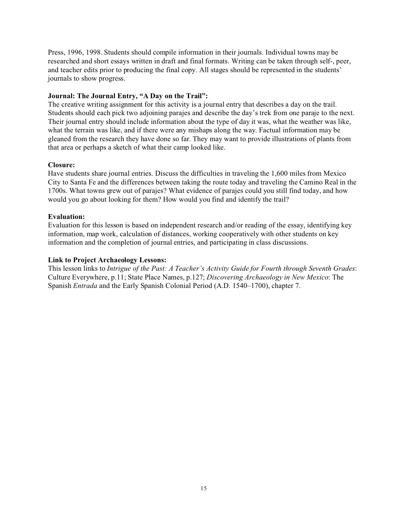Press, 1996, 1998. Students should compile information in their journals. Individual towns may be researched and short essays written in draft and final formats. Writing can be taken through self-, peer, and teacher edits prior to producing the final copy. All stages should be represented in the students' journals to show progress.

## **Journal: The Journal Entry, "A Day on the Trail":**

The creative writing assignment for this activity is a journal entry that describes a day on the trail. Students should each pick two adjoining parajes and describe the day's trek from one paraje to the next. Their journal entry should include information about the type of day it was, what the weather was like, what the terrain was like, and if there were any mishaps along the way. Factual information may be gleaned from the research they have done so far. They may want to provide illustrations of plants from that area or perhaps a sketch of what their camp looked like.

## **Closure:**

Have students share journal entries. Discuss the difficulties in traveling the 1,600 miles from Mexico City to Santa Fe and the differences between taking the route today and traveling the Camino Real in the 1700s. What towns grew out of parajes? What evidence of parajes could you still find today, and how would you go about looking for them? How would you find and identify the trail?

## **Evaluation:**

Evaluation for this lesson is based on independent research and/or reading of the essay, identifying key information, map work, calculation of distances, working cooperatively with other students on key information and the completion of journal entries, and participating in class discussions.

## **Link to Project Archaeology Lessons:**

This lesson links to *Intrigue of the Past: A Teacher's Activity Guide for Fourth through Seventh Grades*: Culture Everywhere, p.11; State Place Names, p.127; *Discovering Archaeology in New Mexico*: The Spanish *Entrada* and the Early Spanish Colonial Period (A.D. 1540–1700), chapter 7.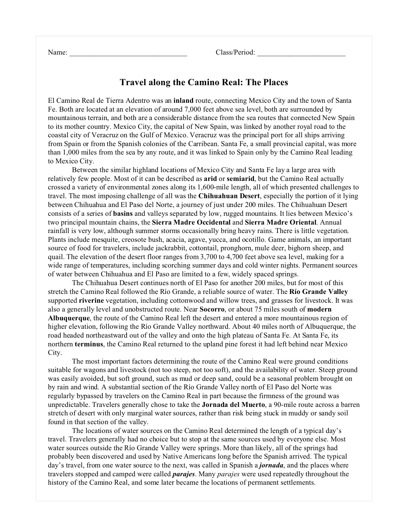Name: Class/Period:

## **Travel along the Camino Real: The Places**

El Camino Real de Tierra Adentro was an **inland** route, connecting Mexico City and the town of Santa Fe. Both are located at an elevation of around 7,000 feet above sea level, both are surrounded by mountainous terrain, and both are a considerable distance from the sea routes that connected New Spain to its mother country. Mexico City, the capital of New Spain, was linked by another royal road to the coastal city of Veracruz on the Gulf of Mexico. Veracruz was the principal port for all ships arriving from Spain or from the Spanish colonies of the Carribean. Santa Fe, a small provincial capital, was more than 1,000 miles from the sea by any route, and it was linked to Spain only by the Camino Real leading to Mexico City.

Between the similar highland locations of Mexico City and Santa Fe lay a large area with relatively few people. Most of it can be described as **arid** or **semiarid**, but the Camino Real actually crossed a variety of environmental zones along its 1,600-mile length, all of which presented challenges to travel. The most imposing challenge of all was the **Chihuahuan Desert**, especially the portion of it lying between Chihuahua and El Paso del Norte, a journey of just under 200 miles. The Chihuahuan Desert consists of a series of **basins** and valleys separated by low, rugged mountains. It lies between Mexico's two principal mountain chains, the **Sierra Madre Occidental** and **Sierra Madre Oriental**. Annual rainfall is very low, although summer storms occasionally bring heavy rains. There is little vegetation. Plants include mesquite, creosote bush, acacia, agave, yucca, and ocotillo. Game animals, an important source of food for travelers, include jackrabbit, cottontail, pronghorn, mule deer, bighorn sheep, and quail. The elevation of the desert floor ranges from 3,700 to 4,700 feet above sea level, making for a wide range of temperatures, including scorching summer days and cold winter nights. Permanent sources of water between Chihuahua and El Paso are limited to a few, widely spaced springs.

The Chihuahua Desert continues north of El Paso for another 200 miles, but for most of this stretch the Camino Real followed the Río Grande, a reliable source of water. The **Río Grande Valley** supported **riverine** vegetation, including cottonwood and willow trees, and grasses for livestock. It was also a generally level and unobstructed route. Near **Socorro**, or about 75 miles south of **modern Albuquerque**, the route of the Camino Real left the desert and entered a more mountainous region of higher elevation, following the Río Grande Valley northward. About 40 miles north of Albuquerque, the road headed northeastward out of the valley and onto the high plateau of Santa Fe. At Santa Fe, its northern **terminus**, the Camino Real returned to the upland pine forest it had left behind near Mexico City.

The most important factors determining the route of the Camino Real were ground conditions suitable for wagons and livestock (not too steep, not too soft), and the availability of water. Steep ground was easily avoided, but soft ground, such as mud or deep sand, could be a seasonal problem brought on by rain and wind. A substantial section of the Río Grande Valley north of El Paso del Norte was regularly bypassed by travelers on the Camino Real in part because the firmness of the ground was unpredictable. Travelers generally chose to take the **Jornada del Muerto**, a 90-mile route across a barren stretch of desert with only marginal water sources, rather than risk being stuck in muddy or sandy soil found in that section of the valley.

The locations of water sources on the Camino Real determined the length of a typical day's travel. Travelers generally had no choice but to stop at the same sources used by everyone else. Most water sources outside the Río Grande Valley were springs. More than likely, all of the springs had probably been discovered and used by Native Americans long before the Spanish arrived. The typical day's travel, from one water source to the next, was called in Spanish a *jornada*, and the places where travelers stopped and camped were called *parajes*. Many *parajes* were used repeatedly throughout the history of the Camino Real, and some later became the locations of permanent settlements.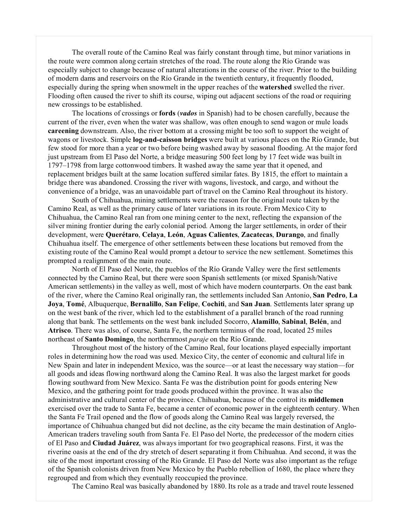The overall route of the Camino Real was fairly constant through time, but minor variations in the route were common along certain stretches of the road. The route along the Río Grande was especially subject to change because of natural alterations in the course of the river. Prior to the building of modern dams and reservoirs on the Río Grande in the twentieth century, it frequently flooded, especially during the spring when snowmelt in the upper reaches of the **watershed** swelled the river. Flooding often caused the river to shift its course, wiping out adjacent sections of the road or requiring new crossings to be established.

The locations of crossings or **fords** (*vados* in Spanish) had to be chosen carefully, because the current of the river, even when the water was shallow, was often enough to send wagon or mule loads **careening** downstream. Also, the river bottom at a crossing might be too soft to support the weight of wagons or livestock. Simple **log-and-caisson bridges** were built at various places on the Río Grande, but few stood for more than a year or two before being washed away by seasonal flooding. At the major ford just upstream from El Paso del Norte, a bridge measuring 500 feet long by 17 feet wide was built in 1797–1798 from large cottonwood timbers. It washed away the same year that it opened, and replacement bridges built at the same location suffered similar fates. By 1815, the effort to maintain a bridge there was abandoned. Crossing the river with wagons, livestock, and cargo, and without the convenience of a bridge, was an unavoidable part of travel on the Camino Real throughout its history.

South of Chihuahua, mining settlements were the reason for the original route taken by the Camino Real, as well as the primary cause of later variations in its route. From Mexico City to Chihuahua, the Camino Real ran from one mining center to the next, reflecting the expansion of the silver mining frontier during the early colonial period. Among the larger settlements, in order of their development, were **Querétaro**, **Celaya**, **León**, **Aguas Calientes**, **Zacatecas**, **Durango**, and finally Chihuahua itself. The emergence of other settlements between these locations but removed from the existing route of the Camino Real would prompt a detour to service the new settlement. Sometimes this prompted a realignment of the main route.

North of El Paso del Norte, the pueblos of the Río Grande Valley were the first settlements connected by the Camino Real, but there were soon Spanish settlements (or mixed Spanish/Native American settlements) in the valley as well, most of which have modern counterparts. On the east bank of the river, where the Camino Real originally ran, the settlements included San Antonio, **San Pedro**, **La Joya**, **Tomé**, Albuquerque, **Bernalillo**, **San Felipe**, **Cochiti**, and **San Juan**. Settlements later sprang up on the west bank of the river, which led to the establishment of a parallel branch of the road running along that bank. The settlements on the west bank included Socorro, **Alamillo**, **Sabinal**, **Belén**, and **Atrisco**. There was also, of course, Santa Fe, the northern terminus of the road, located 25 miles northeast of **Santo Domingo**, the northernmost *paraje* on the Río Grande.

Throughout most of the history of the Camino Real, four locations played especially important roles in determining how the road was used. Mexico City, the center of economic and cultural life in New Spain and later in independent Mexico, was the source—or at least the necessary way station—for all goods and ideas flowing northward along the Camino Real. It was also the largest market for goods flowing southward from New Mexico. Santa Fe was the distribution point for goods entering New Mexico, and the gathering point for trade goods produced within the province. It was also the administrative and cultural center of the province. Chihuahua, because of the control its **middlemen** exercised over the trade to Santa Fe, became a center of economic power in the eighteenth century. When the Santa Fe Trail opened and the flow of goods along the Camino Real was largely reversed, the importance of Chihuahua changed but did not decline, as the city became the main destination of Anglo-American traders traveling south from Santa Fe. El Paso del Norte, the predecessor of the modern cities of El Paso and **Ciudad Juárez**, was always important for two geographical reasons. First, it was the riverine oasis at the end of the dry stretch of desert separating it from Chihuahua. And second, it was the site of the most important crossing of the Río Grande. El Paso del Norte was also important as the refuge of the Spanish colonists driven from New Mexico by the Pueblo rebellion of 1680, the place where they regrouped and from which they eventually reoccupied the province.

The Camino Real was basically abandoned by 1880. Its role as a trade and travel route lessened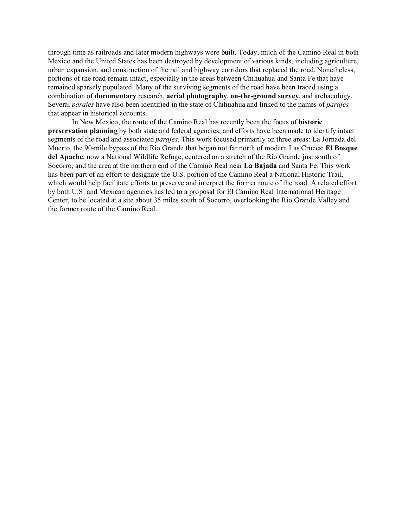through time as railroads and later modern highways were built. Today, much of the Camino Real in both Mexico and the United States has been destroyed by development of various kinds, including agriculture, urban expansion, and construction of the rail and highway corridors that replaced the road. Nonetheless, portions of the road remain intact, especially in the areas between Chihuahua and Santa Fe that have remained sparsely populated. Many of the surviving segments of the road have been traced using a combination of **documentary** research, **aerial photography**, **on-the-ground survey**, and archaeology. Several *parajes* have also been identified in the state of Chihuahua and linked to the names of *parajes* that appear in historical accounts.

In New Mexico, the route of the Camino Real has recently been the focus of **historic preservation planning** by both state and federal agencies, and efforts have been made to identify intact segments of the road and associated *parajes*. This work focused primarily on three areas: La Jornada del Muerto, the 90-mile bypass of the Río Grande that began not far north of modern Las Cruces; **El Bosque del Apache**, now a National Wildlife Refuge, centered on a stretch of the Río Grande just south of Socorro; and the area at the northern end of the Camino Real near **La Bajada** and Santa Fe. This work has been part of an effort to designate the U.S. portion of the Camino Real a National Historic Trail, which would help facilitate efforts to preserve and interpret the former route of the road. A related effort by both U.S. and Mexican agencies has led to a proposal for El Camino Real International Heritage Center, to be located at a site about 35 miles south of Socorro, overlooking the Río Grande Valley and the former route of the Camino Real.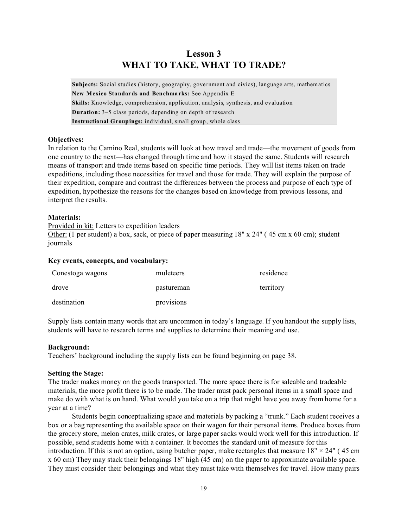## **Lesson 3 WHAT TO TAKE, WHAT TO TRADE?**

**Subjects:** Social studies (history, geography, government and civics), language arts, mathematics **New Mexico Standards and Benchmarks:** See Appendix E **Skills:** Knowledge, comprehension, application, analysis, synthesis, and evaluation **Duration:** 3–5 class periods, depending on depth of research **Instructional Groupings:** individual, small group, whole class

## **Objectives:**

In relation to the Camino Real, students will look at how travel and trade—the movement of goods from one country to the next—has changed through time and how it stayed the same. Students will research means of transport and trade items based on specific time periods. They will list items taken on trade expeditions, including those necessities for travel and those for trade. They will explain the purpose of their expedition, compare and contrast the differences between the process and purpose of each type of expedition, hypothesize the reasons for the changes based on knowledge from previous lessons, and interpret the results.

## **Materials:**

Provided in kit: Letters to expedition leaders Other: (1 per student) a box, sack, or piece of paper measuring 18" x 24" ( 45 cm x 60 cm); student journals

## **Key events, concepts, and vocabulary:**

| Conestoga wagons | muleteers  | residence |
|------------------|------------|-----------|
| drove            | pastureman | territory |
| destination      | provisions |           |

Supply lists contain many words that are uncommon in today's language. If you handout the supply lists, students will have to research terms and supplies to determine their meaning and use.

## **Background:**

Teachers' background including the supply lists can be found beginning on page 38.

## **Setting the Stage:**

The trader makes money on the goods transported. The more space there is for saleable and tradeable materials, the more profit there is to be made. The trader must pack personal items in a small space and make do with what is on hand. What would you take on a trip that might have you away from home for a year at a time?

Students begin conceptualizing space and materials by packing a "trunk." Each student receives a box or a bag representing the available space on their wagon for their personal items. Produce boxes from the grocery store, melon crates, milk crates, or large paper sacks would work well for this introduction. If possible, send students home with a container. It becomes the standard unit of measure for this introduction. If this is not an option, using butcher paper, make rectangles that measure  $18" \times 24"$  (45 cm x 60 cm) They may stack their belongings 18" high (45 cm) on the paper to approximate available space. They must consider their belongings and what they must take with themselves for travel. How many pairs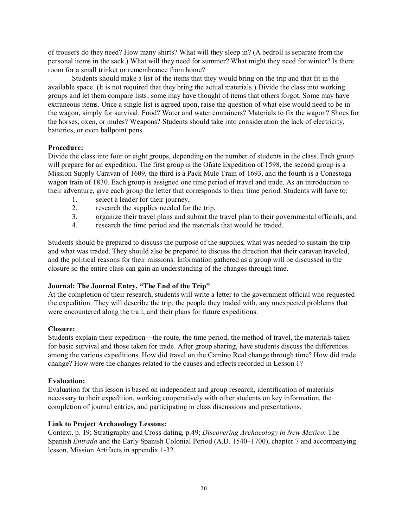of trousers do they need? How many shirts? What will they sleep in? (A bedroll is separate from the personal items in the sack.) What will they need for summer? What might they need for winter? Is there room for a small trinket or remembrance from home?

Students should make a list of the items that they would bring on the trip and that fit in the available space. (It is not required that they bring the actual materials.) Divide the class into working groups and let them compare lists; some may have thought of items that others forgot. Some may have extraneous items. Once a single list is agreed upon, raise the question of what else would need to be in the wagon, simply for survival. Food? Water and water containers? Materials to fix the wagon? Shoes for the horses, oxen, or mules? Weapons? Students should take into consideration the lack of electricity, batteries, or even ballpoint pens.

## **Procedure:**

Divide the class into four or eight groups, depending on the number of students in the class. Each group will prepare for an expedition. The first group is the Oñate Expedition of 1598, the second group is a Mission Supply Caravan of 1609, the third is a Pack Mule Train of 1693, and the fourth is a Conestoga wagon train of 1830. Each group is assigned one time period of travel and trade. As an introduction to their adventure, give each group the letter that corresponds to their time period. Students will have to:

- 1. select a leader for their journey,
- 2. research the supplies needed for the trip,
- 3. organize their travel plans and submit the travel plan to their governmental officials, and
- 4. research the time period and the materials that would be traded.

Students should be prepared to discuss the purpose of the supplies, what was needed to sustain the trip and what was traded. They should also be prepared to discuss the direction that their caravan traveled, and the political reasons for their missions. Information gathered as a group will be discussed in the closure so the entire class can gain an understanding of the changes through time.

## **Journal: The Journal Entry, "The End of the Trip"**

At the completion of their research, students will write a letter to the government official who requested the expedition. They will describe the trip, the people they traded with, any unexpected problems that were encountered along the trail, and their plans for future expeditions.

## **Closure:**

Students explain their expedition—the route, the time period, the method of travel, the materials taken for basic survival and those taken for trade. After group sharing, have students discuss the differences among the various expeditions. How did travel on the Camino Real change through time? How did trade change? How were the changes related to the causes and effects recorded in Lesson 1?

## **Evaluation:**

Evaluation for this lesson is based on independent and group research, identification of materials necessary to their expedition, working cooperatively with other students on key information, the completion of journal entries, and participating in class discussions and presentations.

## **Link to Project Archaeology Lessons:**

Context, p. 19; Stratigraphy and Cross-dating, p.49; *Discovering Archaeology in New Mexico*: The Spanish *Entrada* and the Early Spanish Colonial Period (A.D. 1540–1700), chapter 7 and accompanying lesson, Mission Artifacts in appendix 1-32.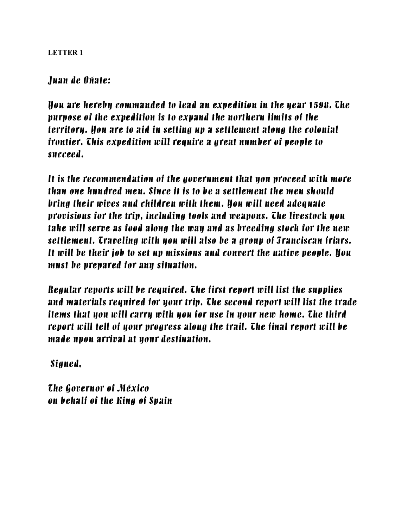*Juan de Oñate:*

*You are hereby commanded to lead an expedition in the year 1598. The purpose of the expedition is to expand the northern limits of the territory. You are to aid in setting up a settlement along the colonial frontier. This expedition will require a great number of people to succeed.*

*It is the recommendation of the government that you proceed with more than one hundred men. Since it is to be a settlement the men should bring their wives and children with them. You will need adequate provisions for the trip, including tools and weapons. The livestock you take will serve as food along the way and as breeding stock for the new settlement. Traveling with you will also be a group of Franciscan friars. It will be their job to set up missions and convert the native people. You must be prepared for any situation.*

*Regular reports will be required. The first report will list the supplies and materials required for your trip. The second report will list the trade items that you will carry with you for use in your new home. The third report will tell of your progress along the trail. The final report will be made upon arrival at your destination.*

 *Signed,*

*The Governor of México on behalf of the King of Spain*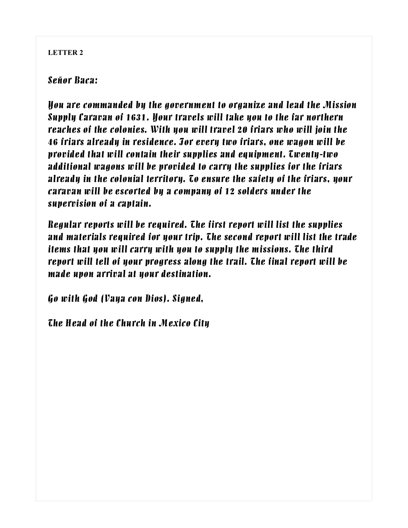## *Señor Baca:*

*You are commanded by the government to organize and lead the Mission Supply Caravan of 1631. Your travels will take you to the far northern reaches of the colonies. With you will travel 20 friars who will join the 46 friars already in residence. For every two friars, one wagon will be provided that will contain their supplies and equipment. Twenty-two additional wagons will be provided to carry the supplies for the friars already in the colonial territory. To ensure the safety of the friars, your caravan will be escorted by a company of 12 solders under the supervision of a captain.*

*Regular reports will be required. The first report will list the supplies and materials required for your trip. The second report will list the trade items that you will carry with you to supply the missions. The third report will tell of your progress along the trail. The final report will be made upon arrival at your destination.*

*Go with God (Vaya con Dios). Signed,*

*The Head of the Church in Mexico City*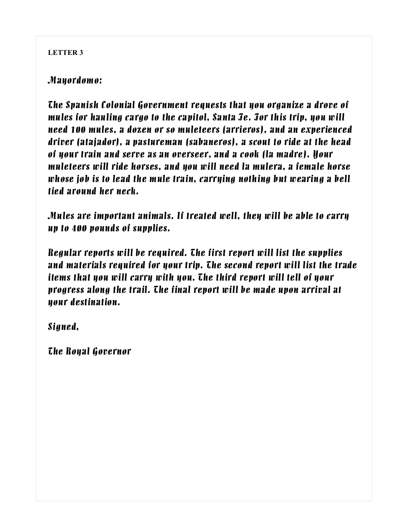## *Mayordomo:*

*The Spanish Colonial Government requests that you organize a drove of mules for hauling cargo to the capitol, Santa Fe. For this trip, you will need 100 mules, a dozen or so muleteers (arrieros), and an experienced driver (atajador), a pastureman (sabaneros), a scout to ride at the head of your train and serve as an overseer, and a cook (la madre). Your muleteers will ride horses, and you will need la mulera, a female horse whose job is to lead the mule train, carrying nothing but wearing a bell tied around her neck.*

*Mules are important animals. If treated well, they will be able to carry up to 400 pounds of supplies.*

*Regular reports will be required. The first report will list the supplies and materials required for your trip. The second report will list the trade items that you will carry with you. The third report will tell of your progress along the trail. The final report will be made upon arrival at your destination.*

*Signed,*

*The Royal Governor*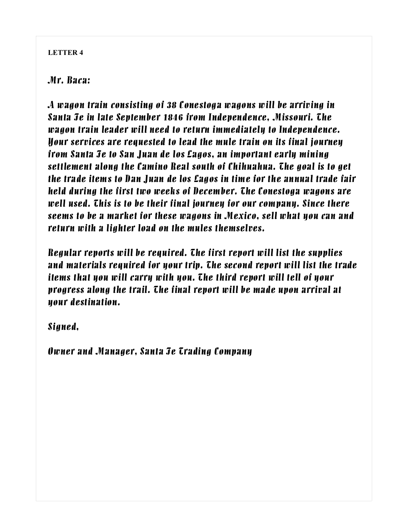## *Mr. Baca:*

*A wagon train consisting of 38 Conestoga wagons will be arriving in Santa Fe in late September 1846 from Independence, Missouri. The wagon train leader will need to return immediately to Independence. Your services are requested to lead the mule train on its final journey from Santa Fe to San Juan de los Lagos, an important early mining settlement along the Camino Real south of Chihuahua. The goal is to get the trade items to Dan Juan de los Lagos in time for the annual trade fair held during the first two weeks of December. The Conestoga wagons are well used. This is to be their final journey for our company. Since there seems to be a market for these wagons in Mexico, sell what you can and return with a lighter load on the mules themselves.*

*Regular reports will be required. The first report will list the supplies and materials required for your trip. The second report will list the trade items that you will carry with you. The third report will tell of your progress along the trail. The final report will be made upon arrival at your destination.*

*Signed,*

*Owner and Manager, Santa Fe Trading Company*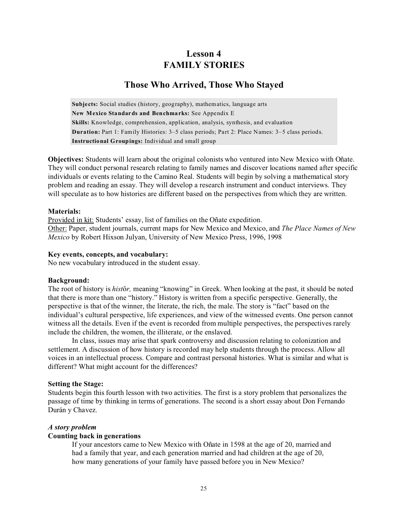## **Lesson 4 FAMILY STORIES**

## **Those Who Arrived, Those Who Stayed**

**Subjects:** Social studies (history, geography), mathematics, language arts **New Mexico Standards and Benchmarks:** See Appendix E **Skills:** Knowledge, comprehension, application, analysis, synthesis, and evaluation **Duration:** Part 1: Family Histories: 3–5 class periods; Part 2: Place Names: 3–5 class periods. **Instructional Groupings:** Individual and small group

**Objectives:** Students will learn about the original colonists who ventured into New Mexico with Oñate. They will conduct personal research relating to family names and discover locations named after specific individuals or events relating to the Camino Real. Students will begin by solving a mathematical story problem and reading an essay. They will develop a research instrument and conduct interviews. They will speculate as to how histories are different based on the perspectives from which they are written.

#### **Materials:**

Provided in kit: Students' essay, list of families on the Oñate expedition. Other: Paper, student journals, current maps for New Mexico and Mexico, and *The Place Names of New Mexico* by Robert Hixson Julyan, University of New Mexico Press, 1996, 1998

#### **Key events, concepts, and vocabulary:**

No new vocabulary introduced in the student essay.

#### **Background:**

The root of history is *histÇr,* meaning "knowing" in Greek. When looking at the past, it should be noted that there is more than one "history." History is written from a specific perspective. Generally, the perspective is that of the winner, the literate, the rich, the male. The story is "fact" based on the individual's cultural perspective, life experiences, and view of the witnessed events. One person cannot witness all the details. Even if the event is recorded from multiple perspectives, the perspectives rarely include the children, the women, the illiterate, or the enslaved.

In class, issues may arise that spark controversy and discussion relating to colonization and settlement. A discussion of how history is recorded may help students through the process. Allow all voices in an intellectual process. Compare and contrast personal histories. What is similar and what is different? What might account for the differences?

#### **Setting the Stage:**

Students begin this fourth lesson with two activities. The first is a story problem that personalizes the passage of time by thinking in terms of generations. The second is a short essay about Don Fernando Durán y Chavez.

#### *A story problem*

#### **Counting back in generations**

If your ancestors came to New Mexico with Oñate in 1598 at the age of 20, married and had a family that year, and each generation married and had children at the age of 20, how many generations of your family have passed before you in New Mexico?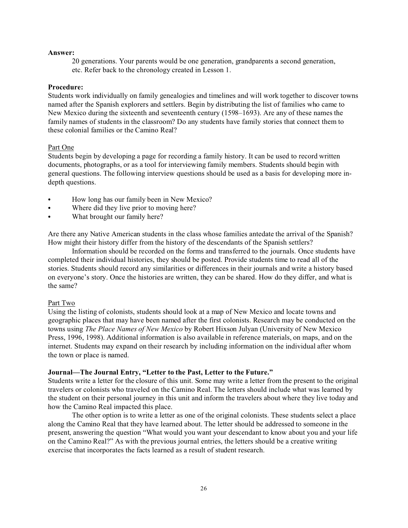#### **Answer:**

20 generations. Your parents would be one generation, grandparents a second generation, etc. Refer back to the chronology created in Lesson 1.

#### **Procedure:**

Students work individually on family genealogies and timelines and will work together to discover towns named after the Spanish explorers and settlers. Begin by distributing the list of families who came to New Mexico during the sixteenth and seventeenth century (1598–1693). Are any of these names the family names of students in the classroom? Do any students have family stories that connect them to these colonial families or the Camino Real?

#### Part One

Students begin by developing a page for recording a family history. It can be used to record written documents, photographs, or as a tool for interviewing family members. Students should begin with general questions. The following interview questions should be used as a basis for developing more indepth questions.

- How long has our family been in New Mexico?
- Where did they live prior to moving here?
- What brought our family here?

Are there any Native American students in the class whose families antedate the arrival of the Spanish? How might their history differ from the history of the descendants of the Spanish settlers?

Information should be recorded on the forms and transferred to the journals. Once students have completed their individual histories, they should be posted. Provide students time to read all of the stories. Students should record any similarities or differences in their journals and write a history based on everyone's story. Once the histories are written, they can be shared. How do they differ, and what is the same?

#### Part Two

Using the listing of colonists, students should look at a map of New Mexico and locate towns and geographic places that may have been named after the first colonists. Research may be conducted on the towns using *The Place Names of New Mexico* by Robert Hixson Julyan (University of New Mexico Press, 1996, 1998). Additional information is also available in reference materials, on maps, and on the internet. Students may expand on their research by including information on the individual after whom the town or place is named.

#### **Journal—The Journal Entry, "Letter to the Past, Letter to the Future."**

Students write a letter for the closure of this unit. Some may write a letter from the present to the original travelers or colonists who traveled on the Camino Real. The letters should include what was learned by the student on their personal journey in this unit and inform the travelers about where they live today and how the Camino Real impacted this place.

The other option is to write a letter as one of the original colonists. These students select a place along the Camino Real that they have learned about. The letter should be addressed to someone in the present, answering the question "What would you want your descendant to know about you and your life on the Camino Real?" As with the previous journal entries, the letters should be a creative writing exercise that incorporates the facts learned as a result of student research.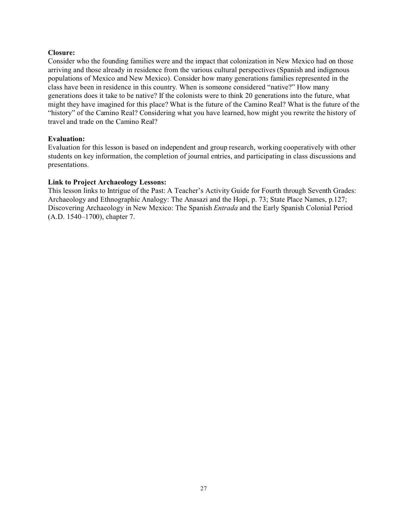#### **Closure:**

Consider who the founding families were and the impact that colonization in New Mexico had on those arriving and those already in residence from the various cultural perspectives (Spanish and indigenous populations of Mexico and New Mexico). Consider how many generations families represented in the class have been in residence in this country. When is someone considered "native?" How many generations does it take to be native? If the colonists were to think 20 generations into the future, what might they have imagined for this place? What is the future of the Camino Real? What is the future of the "history" of the Camino Real? Considering what you have learned, how might you rewrite the history of travel and trade on the Camino Real?

#### **Evaluation:**

Evaluation for this lesson is based on independent and group research, working cooperatively with other students on key information, the completion of journal entries, and participating in class discussions and presentations.

#### **Link to Project Archaeology Lessons:**

This lesson links to Intrigue of the Past: A Teacher's Activity Guide for Fourth through Seventh Grades: Archaeology and Ethnographic Analogy: The Anasazi and the Hopi, p. 73; State Place Names, p.127; Discovering Archaeology in New Mexico: The Spanish *Entrada* and the Early Spanish Colonial Period (A.D. 1540–1700), chapter 7.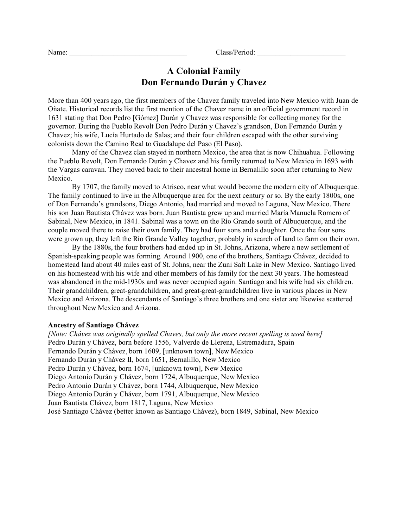Name: Class/Period:

## **A Colonial Family Don Fernando Durán y Chavez**

More than 400 years ago, the first members of the Chavez family traveled into New Mexico with Juan de Oñate. Historical records list the first mention of the Chavez name in an official government record in 1631 stating that Don Pedro [Gómez] Durán y Chavez was responsible for collecting money for the governor. During the Pueblo Revolt Don Pedro Durán y Chavez's grandson, Don Fernando Durán y Chavez; his wife, Lucía Hurtado de Salas; and their four children escaped with the other surviving colonists down the Camino Real to Guadalupe del Paso (El Paso).

Many of the Chavez clan stayed in northern Mexico, the area that is now Chihuahua. Following the Pueblo Revolt, Don Fernando Durán y Chavez and his family returned to New Mexico in 1693 with the Vargas caravan. They moved back to their ancestral home in Bernalillo soon after returning to New Mexico.

By 1707, the family moved to Atrisco, near what would become the modern city of Albuquerque. The family continued to live in the Albuquerque area for the next century or so. By the early 1800s, one of Don Fernando's grandsons, Diego Antonio, had married and moved to Laguna, New Mexico. There his son Juan Bautista Chávez was born. Juan Bautista grew up and married María Manuela Romero of Sabinal, New Mexico, in 1841. Sabinal was a town on the Río Grande south of Albuquerque, and the couple moved there to raise their own family. They had four sons and a daughter. Once the four sons were grown up, they left the Río Grande Valley together, probably in search of land to farm on their own.

By the 1880s, the four brothers had ended up in St. Johns, Arizona, where a new settlement of Spanish-speaking people was forming. Around 1900, one of the brothers, Santiago Chávez, decided to homestead land about 40 miles east of St. Johns, near the Zuni Salt Lake in New Mexico. Santiago lived on his homestead with his wife and other members of his family for the next 30 years. The homestead was abandoned in the mid-1930s and was never occupied again. Santiago and his wife had six children. Their grandchildren, great-grandchildren, and great-great-grandchildren live in various places in New Mexico and Arizona. The descendants of Santiago's three brothers and one sister are likewise scattered throughout New Mexico and Arizona.

#### **Ancestry of Santiago Chávez**

*[Note: Chávez was originally spelled Chaves, but only the more recent spelling is used here]* Pedro Durán y Chávez, born before 1556, Valverde de Llerena, Estremadura, Spain Fernando Durán y Chávez, born 1609, [unknown town], New Mexico Fernando Durán y Chávez II, born 1651, Bernalillo, New Mexico Pedro Durán y Chávez, born 1674, [unknown town], New Mexico Diego Antonio Durán y Chávez, born 1724, Albuquerque, New Mexico Pedro Antonio Durán y Chávez, born 1744, Albuquerque, New Mexico Diego Antonio Durán y Chávez, born 1791, Albuquerque, New Mexico Juan Bautista Chávez, born 1817, Laguna, New Mexico José Santiago Chávez (better known as Santiago Chávez), born 1849, Sabinal, New Mexico